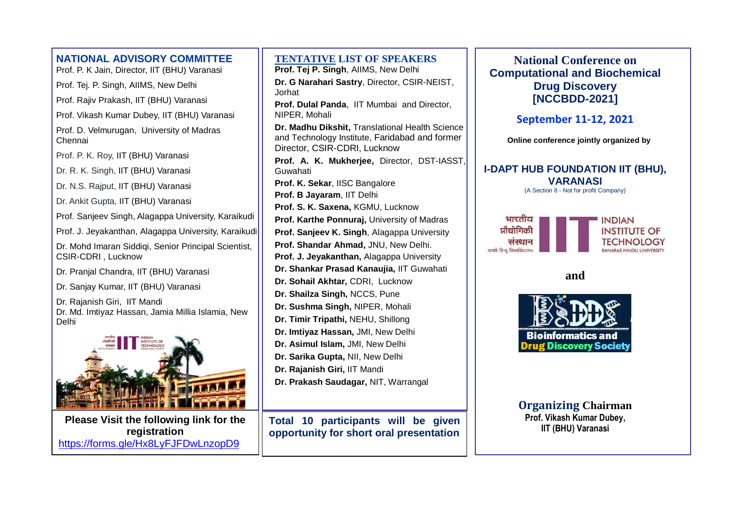| <b>NATIONAL ADVISORY COMMITTEE</b><br>Prof. P. K Jain, Director, IIT (BHU) Varanasi | <b>TENTATIVE LIST OF SPEAKER</b><br>Prof. Tej P. Singh, AllMS, New Delhi                                           |
|-------------------------------------------------------------------------------------|--------------------------------------------------------------------------------------------------------------------|
| Prof. Tej. P. Singh, AllMS, New Delhi                                               | Dr. G Narahari Sastry, Director, CSIR-N                                                                            |
| Prof. Rajiv Prakash, IIT (BHU) Varanasi                                             | Jorhat<br>Prof. Dulal Panda, IIT Mumbai and Dire                                                                   |
| Prof. Vikash Kumar Dubey, IIT (BHU) Varanasi                                        | NIPER, Mohali                                                                                                      |
| Prof. D. Velmurugan, University of Madras<br>Chennai                                | Dr. Madhu Dikshit, Translational Health<br>and Technology Institute, Faridabad and<br>Director, CSIR-CDRI, Lucknow |
| Prof. P. K. Roy, IIT (BHU) Varanasi                                                 | Prof. A. K. Mukherjee, Director, DS                                                                                |
| Dr. R. K. Singh, IIT (BHU) Varanasi                                                 | Guwahati                                                                                                           |
| Dr. N.S. Rajput, IIT (BHU) Varanasi                                                 | Prof. K. Sekar, IISC Bangalore                                                                                     |
| Dr. Ankit Gupta, IIT (BHU) Varanasi                                                 | Prof. B Jayaram, IIT Delhi                                                                                         |
| Prof. Sanjeev Singh, Alagappa University, Karaikudi                                 | Prof. S. K. Saxena, KGMU, Lucknow<br>Prof. Karthe Ponnuraj, University of Ma                                       |
| Prof. J. Jeyakanthan, Alagappa University, Karaikudi                                | Prof. Sanjeev K. Singh, Alagappa Unive                                                                             |
| Dr. Mohd Imaran Siddiqi, Senior Principal Scientist,<br>CSIR-CDRI, Lucknow          | Prof. Shandar Ahmad, JNU, New Delhi.<br>Prof. J. Jeyakanthan, Alagappa Univers                                     |
| Dr. Pranjal Chandra, IIT (BHU) Varanasi                                             | Dr. Shankar Prasad Kanaujia, IIT Guwa                                                                              |
| Dr. Sanjay Kumar, IIT (BHU) Varanasi                                                | Dr. Sohail Akhtar, CDRI, Lucknow                                                                                   |
| Dr. Rajanish Giri, IIT Mandi                                                        | Dr. Shailza Singh, NCCS, Pune                                                                                      |
| Dr. Md. Imtiyaz Hassan, Jamia Millia Islamia, New                                   | Dr. Sushma Singh, NIPER, Mohali<br>Dr. Timir Tripathi, NEHU, Shillong                                              |
| Delhi                                                                               | Dr. Imtiyaz Hassan, JMI, New Delhi                                                                                 |
| NSTITUTE OF                                                                         | Dr. Asimul Islam, JMI, New Delhi                                                                                   |
|                                                                                     | Dr. Sarika Gupta, NII, New Delhi                                                                                   |
|                                                                                     | Dr. Rajanish Giri, IIT Mandi                                                                                       |
|                                                                                     | Dr. Prakash Saudagar, NIT, Warrangal                                                                               |
| Please Visit the following link for the                                             | Total 10 participants will be                                                                                      |
| registration                                                                        | opportunity for short oral presen                                                                                  |

<https://forms.gle/Hx8LyFJFDwLnzopD9>

**TERS** 

**BIR-NEIST,** 

d Director,

**Palth Science** and former

**Prof. A. K. Mukherjee,** Director, DST-IASST,

**Prof. Karthe Ponnuraj,** University of Madras

**University** 

**Profersity** 

**Buwahati** 

**The given sentation** 

**National Conference on Computational and Biochemical Drug Discovery [NCCBDD-2021]**

**September 11-12, 2021**

**Online conference jointly organized by**

#### **I-DAPT HUB FOUNDATION IIT (BHU), VARANASI**





**and** 



**Organizing Chairman Prof. Vikash Kumar Dubey, IIT (BHU) Varanasi**